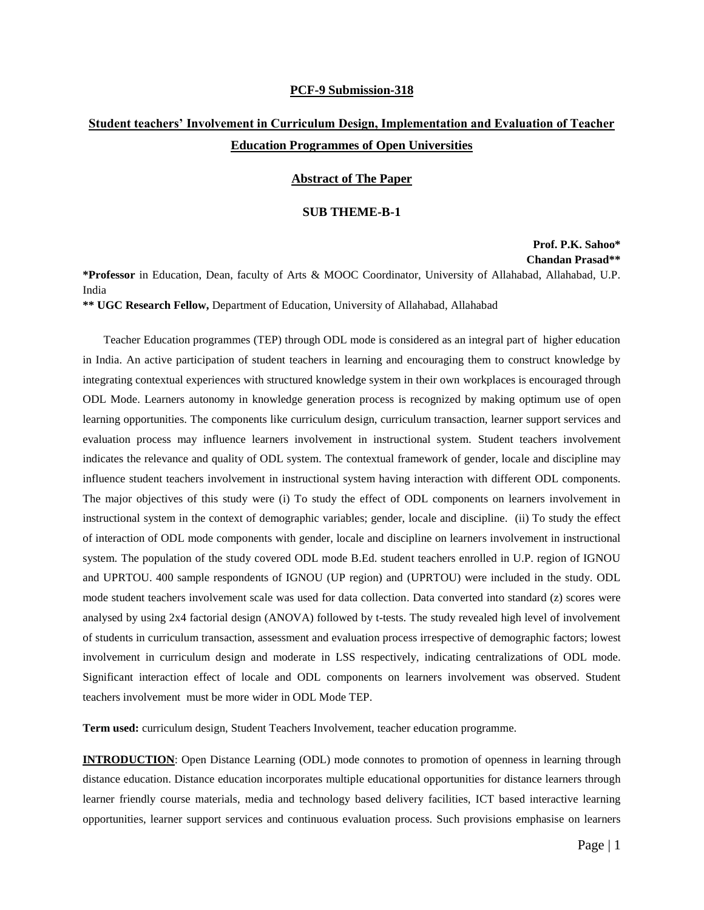#### **PCF-9 Submission-318**

# **Student teachers' Involvement in Curriculum Design, Implementation and Evaluation of Teacher Education Programmes of Open Universities**

### **Abstract of The Paper**

#### **SUB THEME-B-1**

## **Prof. P.K. Sahoo\* Chandan Prasad\*\***

**\*Professor** in Education, Dean, faculty of Arts & MOOC Coordinator, University of Allahabad, Allahabad, U.P. India

**\*\* UGC Research Fellow,** Department of Education, University of Allahabad, Allahabad

Teacher Education programmes (TEP) through ODL mode is considered as an integral part of higher education in India. An active participation of student teachers in learning and encouraging them to construct knowledge by integrating contextual experiences with structured knowledge system in their own workplaces is encouraged through ODL Mode. Learners autonomy in knowledge generation process is recognized by making optimum use of open learning opportunities. The components like curriculum design, curriculum transaction, learner support services and evaluation process may influence learners involvement in instructional system. Student teachers involvement indicates the relevance and quality of ODL system. The contextual framework of gender, locale and discipline may influence student teachers involvement in instructional system having interaction with different ODL components. The major objectives of this study were (i) To study the effect of ODL components on learners involvement in instructional system in the context of demographic variables; gender, locale and discipline. (ii) To study the effect of interaction of ODL mode components with gender, locale and discipline on learners involvement in instructional system. The population of the study covered ODL mode B.Ed. student teachers enrolled in U.P. region of IGNOU and UPRTOU. 400 sample respondents of IGNOU (UP region) and (UPRTOU) were included in the study. ODL mode student teachers involvement scale was used for data collection. Data converted into standard (z) scores were analysed by using 2x4 factorial design (ANOVA) followed by t-tests. The study revealed high level of involvement of students in curriculum transaction, assessment and evaluation process irrespective of demographic factors; lowest involvement in curriculum design and moderate in LSS respectively, indicating centralizations of ODL mode. Significant interaction effect of locale and ODL components on learners involvement was observed. Student teachers involvement must be more wider in ODL Mode TEP.

**Term used:** curriculum design, Student Teachers Involvement, teacher education programme.

**INTRODUCTION**: Open Distance Learning (ODL) mode connotes to promotion of openness in learning through distance education. Distance education incorporates multiple educational opportunities for distance learners through learner friendly course materials, media and technology based delivery facilities, ICT based interactive learning opportunities, learner support services and continuous evaluation process. Such provisions emphasise on learners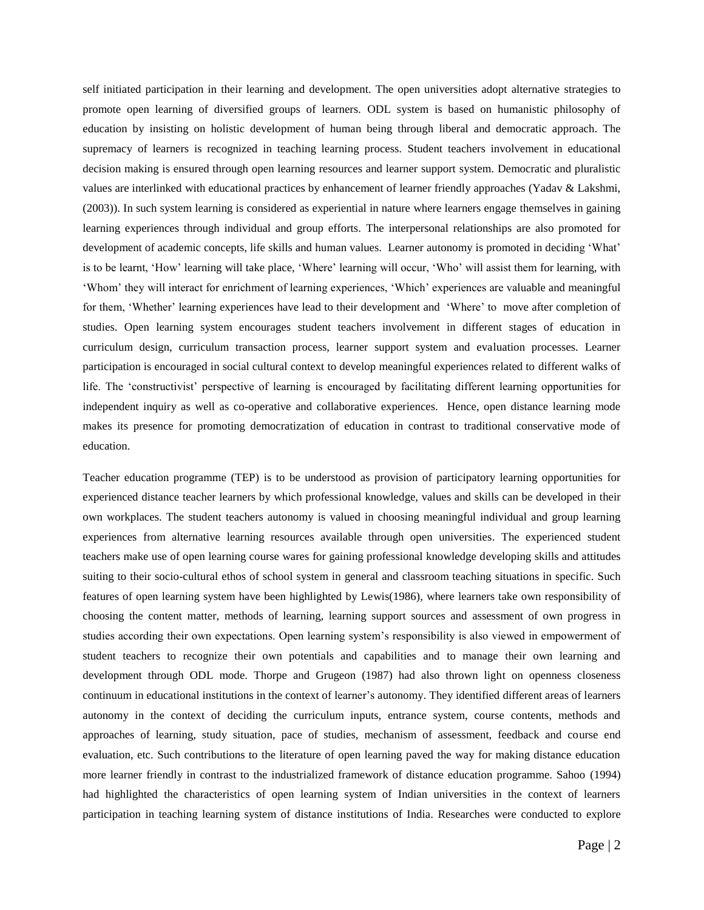self initiated participation in their learning and development. The open universities adopt alternative strategies to promote open learning of diversified groups of learners. ODL system is based on humanistic philosophy of education by insisting on holistic development of human being through liberal and democratic approach. The supremacy of learners is recognized in teaching learning process. Student teachers involvement in educational decision making is ensured through open learning resources and learner support system. Democratic and pluralistic values are interlinked with educational practices by enhancement of learner friendly approaches (Yadav & Lakshmi, (2003)). In such system learning is considered as experiential in nature where learners engage themselves in gaining learning experiences through individual and group efforts. The interpersonal relationships are also promoted for development of academic concepts, life skills and human values. Learner autonomy is promoted in deciding 'What' is to be learnt, 'How' learning will take place, 'Where' learning will occur, 'Who' will assist them for learning, with 'Whom' they will interact for enrichment of learning experiences, 'Which' experiences are valuable and meaningful for them, 'Whether' learning experiences have lead to their development and 'Where' to move after completion of studies. Open learning system encourages student teachers involvement in different stages of education in curriculum design, curriculum transaction process, learner support system and evaluation processes. Learner participation is encouraged in social cultural context to develop meaningful experiences related to different walks of life. The 'constructivist' perspective of learning is encouraged by facilitating different learning opportunities for independent inquiry as well as co-operative and collaborative experiences. Hence, open distance learning mode makes its presence for promoting democratization of education in contrast to traditional conservative mode of education.

Teacher education programme (TEP) is to be understood as provision of participatory learning opportunities for experienced distance teacher learners by which professional knowledge, values and skills can be developed in their own workplaces. The student teachers autonomy is valued in choosing meaningful individual and group learning experiences from alternative learning resources available through open universities. The experienced student teachers make use of open learning course wares for gaining professional knowledge developing skills and attitudes suiting to their socio-cultural ethos of school system in general and classroom teaching situations in specific. Such features of open learning system have been highlighted by Lewis(1986), where learners take own responsibility of choosing the content matter, methods of learning, learning support sources and assessment of own progress in studies according their own expectations. Open learning system's responsibility is also viewed in empowerment of student teachers to recognize their own potentials and capabilities and to manage their own learning and development through ODL mode. Thorpe and Grugeon (1987) had also thrown light on openness closeness continuum in educational institutions in the context of learner's autonomy. They identified different areas of learners autonomy in the context of deciding the curriculum inputs, entrance system, course contents, methods and approaches of learning, study situation, pace of studies, mechanism of assessment, feedback and course end evaluation, etc. Such contributions to the literature of open learning paved the way for making distance education more learner friendly in contrast to the industrialized framework of distance education programme. Sahoo (1994) had highlighted the characteristics of open learning system of Indian universities in the context of learners participation in teaching learning system of distance institutions of India. Researches were conducted to explore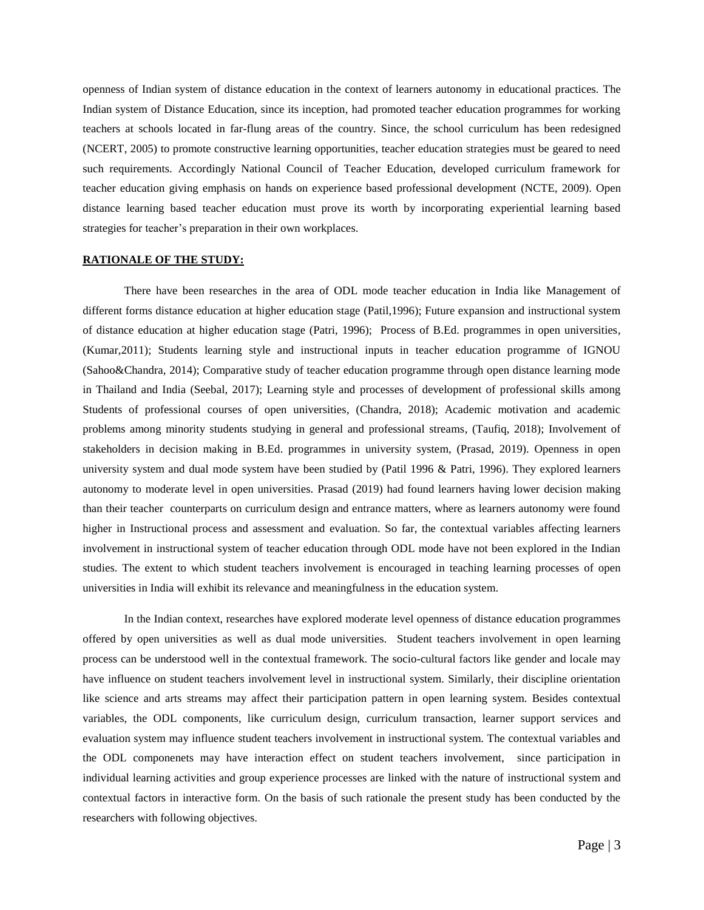openness of Indian system of distance education in the context of learners autonomy in educational practices. The Indian system of Distance Education, since its inception, had promoted teacher education programmes for working teachers at schools located in far-flung areas of the country. Since, the school curriculum has been redesigned (NCERT, 2005) to promote constructive learning opportunities, teacher education strategies must be geared to need such requirements. Accordingly National Council of Teacher Education, developed curriculum framework for teacher education giving emphasis on hands on experience based professional development (NCTE, 2009). Open distance learning based teacher education must prove its worth by incorporating experiential learning based strategies for teacher's preparation in their own workplaces.

## **RATIONALE OF THE STUDY:**

There have been researches in the area of ODL mode teacher education in India like Management of different forms distance education at higher education stage (Patil,1996); Future expansion and instructional system of distance education at higher education stage (Patri, 1996); Process of B.Ed. programmes in open universities, (Kumar,2011); Students learning style and instructional inputs in teacher education programme of IGNOU (Sahoo&Chandra, 2014); Comparative study of teacher education programme through open distance learning mode in Thailand and India (Seebal, 2017); Learning style and processes of development of professional skills among Students of professional courses of open universities, (Chandra, 2018); Academic motivation and academic problems among minority students studying in general and professional streams, (Taufiq, 2018); Involvement of stakeholders in decision making in B.Ed. programmes in university system, (Prasad, 2019). Openness in open university system and dual mode system have been studied by (Patil 1996 & Patri, 1996). They explored learners autonomy to moderate level in open universities. Prasad (2019) had found learners having lower decision making than their teacher counterparts on curriculum design and entrance matters, where as learners autonomy were found higher in Instructional process and assessment and evaluation. So far, the contextual variables affecting learners involvement in instructional system of teacher education through ODL mode have not been explored in the Indian studies. The extent to which student teachers involvement is encouraged in teaching learning processes of open universities in India will exhibit its relevance and meaningfulness in the education system.

In the Indian context, researches have explored moderate level openness of distance education programmes offered by open universities as well as dual mode universities. Student teachers involvement in open learning process can be understood well in the contextual framework. The socio-cultural factors like gender and locale may have influence on student teachers involvement level in instructional system. Similarly, their discipline orientation like science and arts streams may affect their participation pattern in open learning system. Besides contextual variables, the ODL components, like curriculum design, curriculum transaction, learner support services and evaluation system may influence student teachers involvement in instructional system. The contextual variables and the ODL componenets may have interaction effect on student teachers involvement, since participation in individual learning activities and group experience processes are linked with the nature of instructional system and contextual factors in interactive form. On the basis of such rationale the present study has been conducted by the researchers with following objectives.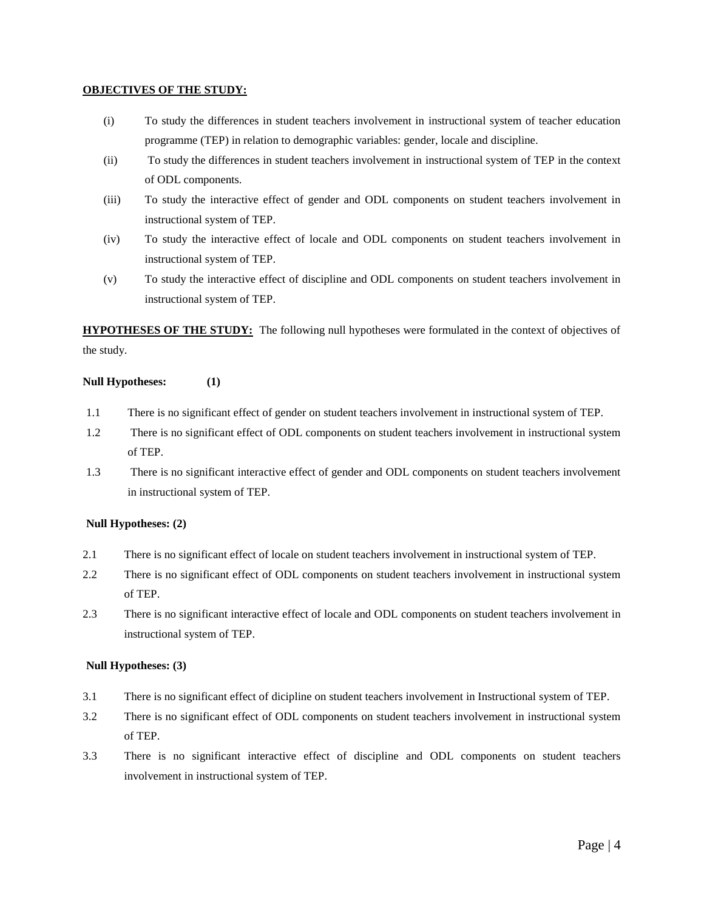## **OBJECTIVES OF THE STUDY:**

- (i) To study the differences in student teachers involvement in instructional system of teacher education programme (TEP) in relation to demographic variables: gender, locale and discipline.
- (ii) To study the differences in student teachers involvement in instructional system of TEP in the context of ODL components.
- (iii) To study the interactive effect of gender and ODL components on student teachers involvement in instructional system of TEP.
- (iv) To study the interactive effect of locale and ODL components on student teachers involvement in instructional system of TEP.
- (v) To study the interactive effect of discipline and ODL components on student teachers involvement in instructional system of TEP.

**HYPOTHESES OF THE STUDY:** The following null hypotheses were formulated in the context of objectives of the study.

# **Null Hypotheses: (1)**

- 1.1 There is no significant effect of gender on student teachers involvement in instructional system of TEP.
- 1.2 There is no significant effect of ODL components on student teachers involvement in instructional system of TEP.
- 1.3 There is no significant interactive effect of gender and ODL components on student teachers involvement in instructional system of TEP.

# **Null Hypotheses: (2)**

- 2.1 There is no significant effect of locale on student teachers involvement in instructional system of TEP.
- 2.2 There is no significant effect of ODL components on student teachers involvement in instructional system of TEP.
- 2.3 There is no significant interactive effect of locale and ODL components on student teachers involvement in instructional system of TEP.

## **Null Hypotheses: (3)**

- 3.1 There is no significant effect of dicipline on student teachers involvement in Instructional system of TEP.
- 3.2 There is no significant effect of ODL components on student teachers involvement in instructional system of TEP.
- 3.3 There is no significant interactive effect of discipline and ODL components on student teachers involvement in instructional system of TEP.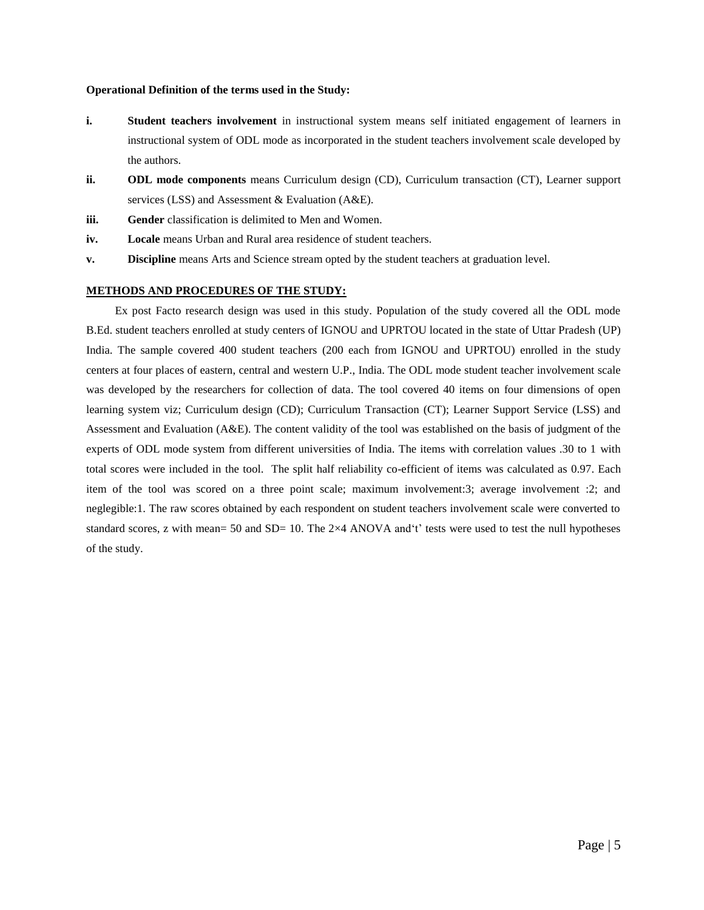#### **Operational Definition of the terms used in the Study:**

- **i. Student teachers involvement** in instructional system means self initiated engagement of learners in instructional system of ODL mode as incorporated in the student teachers involvement scale developed by the authors.
- **ii. ODL mode components** means Curriculum design (CD), Curriculum transaction (CT), Learner support services (LSS) and Assessment & Evaluation (A&E).
- **iii. Gender** classification is delimited to Men and Women.
- **iv.** Locale means Urban and Rural area residence of student teachers.
- **v. Discipline** means Arts and Science stream opted by the student teachers at graduation level.

## **METHODS AND PROCEDURES OF THE STUDY:**

Ex post Facto research design was used in this study. Population of the study covered all the ODL mode B.Ed. student teachers enrolled at study centers of IGNOU and UPRTOU located in the state of Uttar Pradesh (UP) India. The sample covered 400 student teachers (200 each from IGNOU and UPRTOU) enrolled in the study centers at four places of eastern, central and western U.P., India. The ODL mode student teacher involvement scale was developed by the researchers for collection of data. The tool covered 40 items on four dimensions of open learning system viz; Curriculum design (CD); Curriculum Transaction (CT); Learner Support Service (LSS) and Assessment and Evaluation (A&E). The content validity of the tool was established on the basis of judgment of the experts of ODL mode system from different universities of India. The items with correlation values .30 to 1 with total scores were included in the tool. The split half reliability co-efficient of items was calculated as 0.97. Each item of the tool was scored on a three point scale; maximum involvement:3; average involvement :2; and neglegible:1. The raw scores obtained by each respondent on student teachers involvement scale were converted to standard scores, z with mean= 50 and SD= 10. The 2×4 ANOVA and't' tests were used to test the null hypotheses of the study.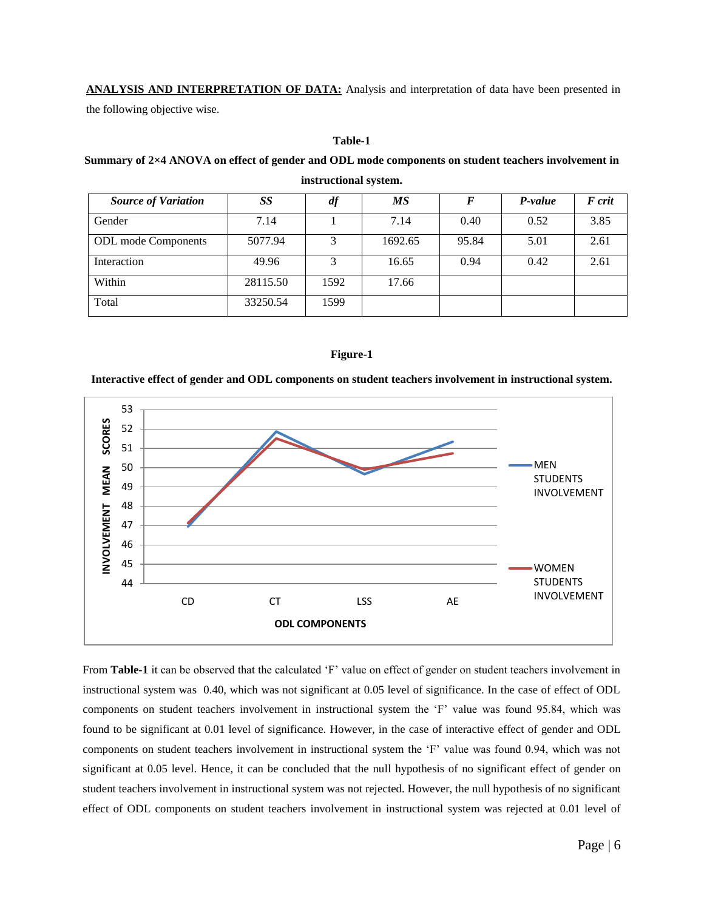**ANALYSIS AND INTERPRETATION OF DATA:** Analysis and interpretation of data have been presented in the following objective wise.

## **Table-1**

## **Summary of 2×4 ANOVA on effect of gender and ODL mode components on student teachers involvement in**

| <b>Source of Variation</b> | SS       | df   | МS      | F     | P-value | F crit |
|----------------------------|----------|------|---------|-------|---------|--------|
| Gender                     | 7.14     |      | 7.14    | 0.40  | 0.52    | 3.85   |
| <b>ODL</b> mode Components | 5077.94  |      | 1692.65 | 95.84 | 5.01    | 2.61   |
| Interaction                | 49.96    | 3    | 16.65   | 0.94  | 0.42    | 2.61   |
| Within                     | 28115.50 | 1592 | 17.66   |       |         |        |
| Total                      | 33250.54 | 1599 |         |       |         |        |

## **instructional system.**

## **Figure-1**

## **Interactive effect of gender and ODL components on student teachers involvement in instructional system.**



From **Table-1** it can be observed that the calculated 'F' value on effect of gender on student teachers involvement in instructional system was 0.40, which was not significant at 0.05 level of significance. In the case of effect of ODL components on student teachers involvement in instructional system the 'F' value was found 95.84, which was found to be significant at 0.01 level of significance. However, in the case of interactive effect of gender and ODL components on student teachers involvement in instructional system the 'F' value was found 0.94, which was not significant at 0.05 level. Hence, it can be concluded that the null hypothesis of no significant effect of gender on student teachers involvement in instructional system was not rejected. However, the null hypothesis of no significant effect of ODL components on student teachers involvement in instructional system was rejected at 0.01 level of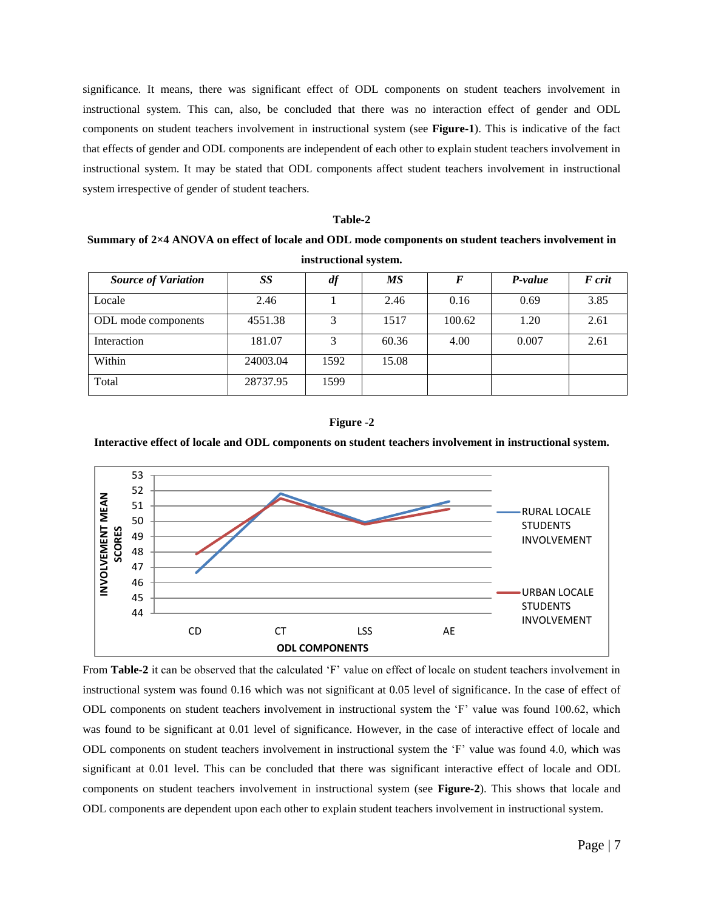significance. It means, there was significant effect of ODL components on student teachers involvement in instructional system. This can, also, be concluded that there was no interaction effect of gender and ODL components on student teachers involvement in instructional system (see **Figure-1**). This is indicative of the fact that effects of gender and ODL components are independent of each other to explain student teachers involvement in instructional system. It may be stated that ODL components affect student teachers involvement in instructional system irrespective of gender of student teachers.

#### **Table-2**

**Summary of 2×4 ANOVA on effect of locale and ODL mode components on student teachers involvement in instructional system.**

| <b>Source of Variation</b> | SS       | df   | <b>MS</b> |        | P-value | F crit |
|----------------------------|----------|------|-----------|--------|---------|--------|
| Locale                     | 2.46     |      | 2.46      | 0.16   | 0.69    | 3.85   |
| ODL mode components        | 4551.38  |      | 1517      | 100.62 | 1.20    | 2.61   |
| Interaction                | 181.07   | 3    | 60.36     | 4.00   | 0.007   | 2.61   |
| Within                     | 24003.04 | 1592 | 15.08     |        |         |        |
| Total                      | 28737.95 | 1599 |           |        |         |        |



#### **Interactive effect of locale and ODL components on student teachers involvement in instructional system.**



From **Table-2** it can be observed that the calculated 'F' value on effect of locale on student teachers involvement in instructional system was found 0.16 which was not significant at 0.05 level of significance. In the case of effect of ODL components on student teachers involvement in instructional system the 'F' value was found 100.62, which was found to be significant at 0.01 level of significance. However, in the case of interactive effect of locale and ODL components on student teachers involvement in instructional system the 'F' value was found 4.0, which was significant at 0.01 level. This can be concluded that there was significant interactive effect of locale and ODL components on student teachers involvement in instructional system (see **Figure-2**). This shows that locale and ODL components are dependent upon each other to explain student teachers involvement in instructional system.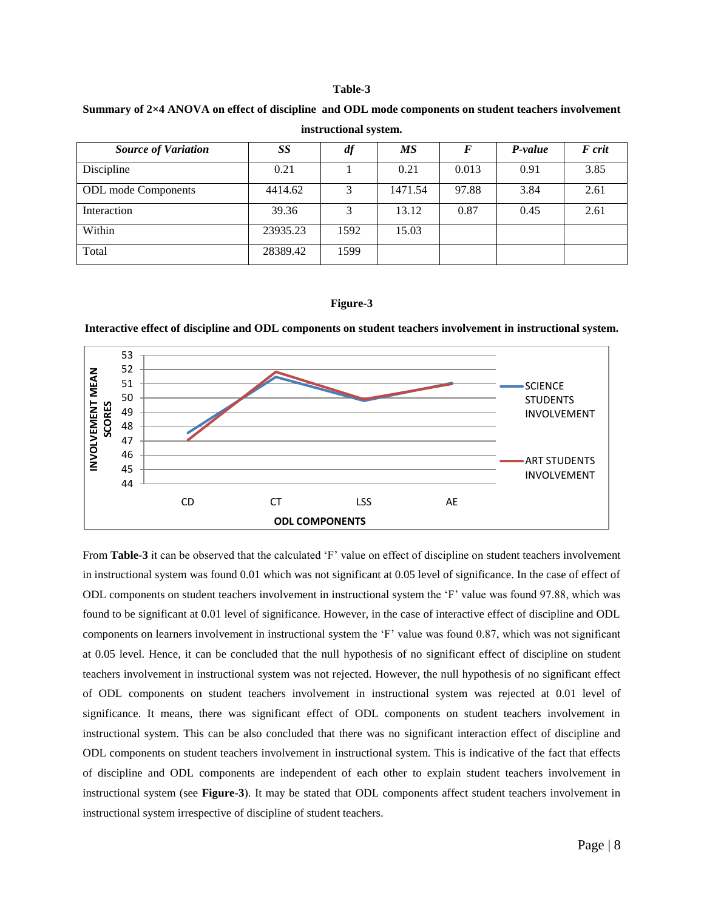#### **Table-3**

| instructional system.      |          |                   |           |       |         |        |  |
|----------------------------|----------|-------------------|-----------|-------|---------|--------|--|
| <b>Source of Variation</b> | SS       | df                | <b>MS</b> |       | P-value | F crit |  |
| Discipline                 | 0.21     |                   | 0.21      | 0.013 | 0.91    | 3.85   |  |
| <b>ODL</b> mode Components | 4414.62  | 3                 | 1471.54   | 97.88 | 3.84    | 2.61   |  |
| Interaction                | 39.36    | $\mathbf{\Omega}$ | 13.12     | 0.87  | 0.45    | 2.61   |  |
| Within                     | 23935.23 | 1592              | 15.03     |       |         |        |  |

**Summary of 2×4 ANOVA on effect of discipline and ODL mode components on student teachers involvement** 

## **Figure-3**

Total 28389.42 1599

**Interactive effect of discipline and ODL components on student teachers involvement in instructional system.**



From **Table-3** it can be observed that the calculated 'F' value on effect of discipline on student teachers involvement in instructional system was found 0.01 which was not significant at 0.05 level of significance. In the case of effect of ODL components on student teachers involvement in instructional system the 'F' value was found 97.88, which was found to be significant at 0.01 level of significance. However, in the case of interactive effect of discipline and ODL components on learners involvement in instructional system the 'F' value was found 0.87, which was not significant at 0.05 level. Hence, it can be concluded that the null hypothesis of no significant effect of discipline on student teachers involvement in instructional system was not rejected. However, the null hypothesis of no significant effect of ODL components on student teachers involvement in instructional system was rejected at 0.01 level of significance. It means, there was significant effect of ODL components on student teachers involvement in instructional system. This can be also concluded that there was no significant interaction effect of discipline and ODL components on student teachers involvement in instructional system. This is indicative of the fact that effects of discipline and ODL components are independent of each other to explain student teachers involvement in instructional system (see **Figure-3**). It may be stated that ODL components affect student teachers involvement in instructional system irrespective of discipline of student teachers.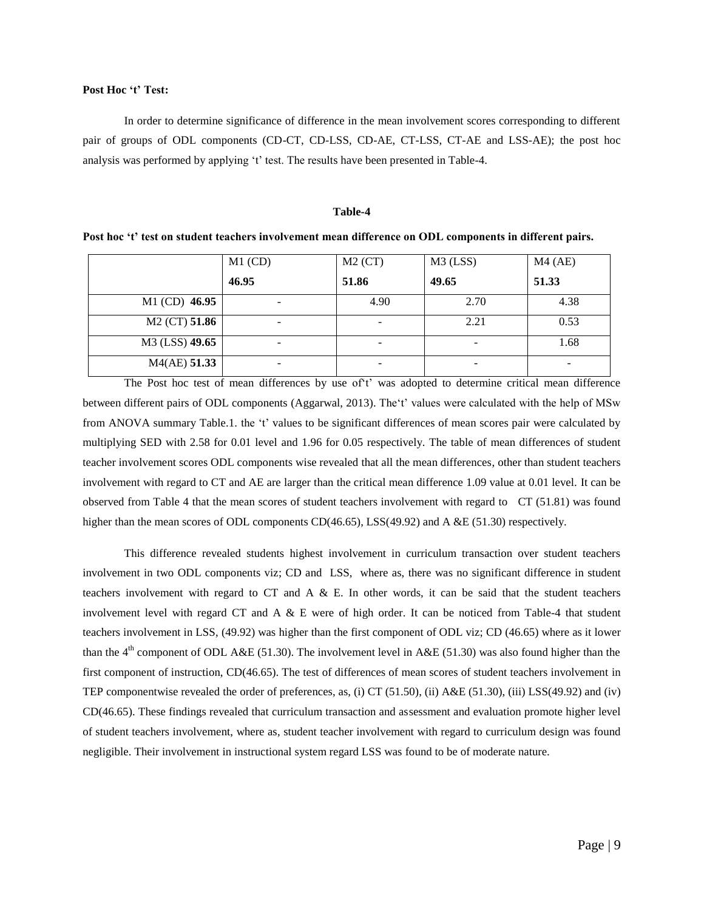#### **Post Hoc 't' Test:**

In order to determine significance of difference in the mean involvement scores corresponding to different pair of groups of ODL components (CD-CT, CD-LSS, CD-AE, CT-LSS, CT-AE and LSS-AE); the post hoc analysis was performed by applying 't' test. The results have been presented in Table-4.

#### **Table-4**

**Post hoc 't' test on student teachers involvement mean difference on ODL components in different pairs.** 

|                           | $M1$ (CD)                | $M2$ (CT) | $M3$ (LSS) | $M4$ (AE) |
|---------------------------|--------------------------|-----------|------------|-----------|
|                           | 46.95                    | 51.86     | 49.65      | 51.33     |
| M1 (CD) 46.95             |                          | 4.90      | 2.70       | 4.38      |
| M <sub>2</sub> (CT) 51.86 | $\overline{\phantom{0}}$ |           | 2.21       | 0.53      |
| M3 (LSS) 49.65            | ۰                        |           | ۰          | 1.68      |
| $M4(AE)$ 51.33            | ۰                        |           |            |           |

The Post hoc test of mean differences by use of't' was adopted to determine critical mean difference between different pairs of ODL components (Aggarwal, 2013). The't' values were calculated with the help of MSw from ANOVA summary Table.1. the 't' values to be significant differences of mean scores pair were calculated by multiplying SED with 2.58 for 0.01 level and 1.96 for 0.05 respectively. The table of mean differences of student teacher involvement scores ODL components wise revealed that all the mean differences, other than student teachers involvement with regard to CT and AE are larger than the critical mean difference 1.09 value at 0.01 level. It can be observed from Table 4 that the mean scores of student teachers involvement with regard to CT (51.81) was found higher than the mean scores of ODL components CD(46.65), LSS(49.92) and A &E (51.30) respectively.

This difference revealed students highest involvement in curriculum transaction over student teachers involvement in two ODL components viz; CD and LSS, where as, there was no significant difference in student teachers involvement with regard to  $CT$  and  $A \& E$ . In other words, it can be said that the student teachers involvement level with regard CT and A & E were of high order. It can be noticed from Table-4 that student teachers involvement in LSS, (49.92) was higher than the first component of ODL viz; CD (46.65) where as it lower than the 4<sup>th</sup> component of ODL A&E (51.30). The involvement level in A&E (51.30) was also found higher than the first component of instruction, CD(46.65). The test of differences of mean scores of student teachers involvement in TEP componentwise revealed the order of preferences, as, (i) CT (51.50), (ii) A&E (51.30), (iii) LSS(49.92) and (iv) CD(46.65). These findings revealed that curriculum transaction and assessment and evaluation promote higher level of student teachers involvement, where as, student teacher involvement with regard to curriculum design was found negligible. Their involvement in instructional system regard LSS was found to be of moderate nature.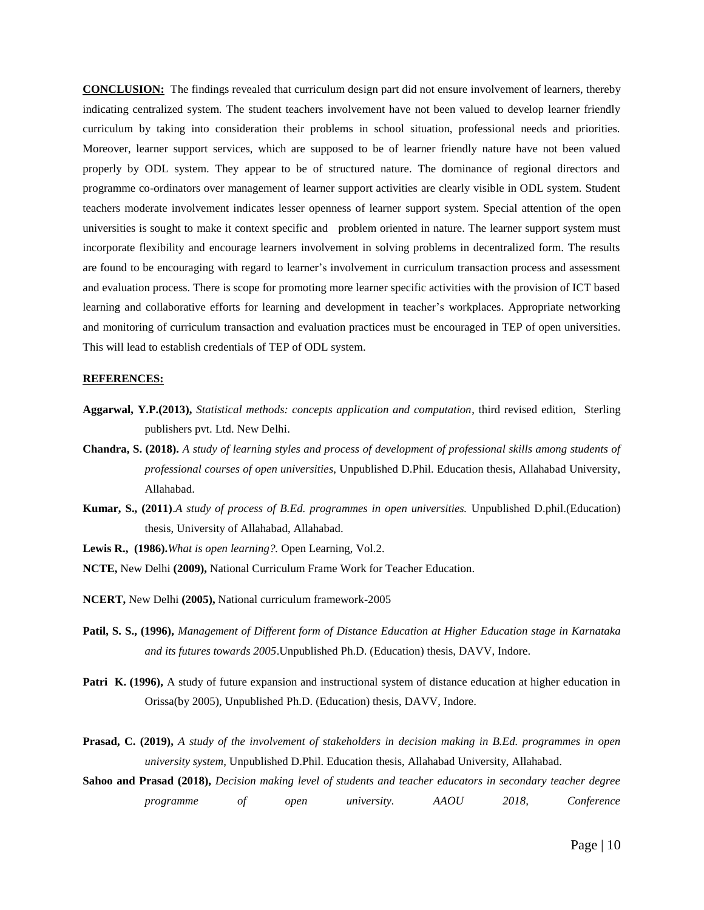**CONCLUSION:** The findings revealed that curriculum design part did not ensure involvement of learners, thereby indicating centralized system. The student teachers involvement have not been valued to develop learner friendly curriculum by taking into consideration their problems in school situation, professional needs and priorities. Moreover, learner support services, which are supposed to be of learner friendly nature have not been valued properly by ODL system. They appear to be of structured nature. The dominance of regional directors and programme co-ordinators over management of learner support activities are clearly visible in ODL system. Student teachers moderate involvement indicates lesser openness of learner support system. Special attention of the open universities is sought to make it context specific and problem oriented in nature. The learner support system must incorporate flexibility and encourage learners involvement in solving problems in decentralized form. The results are found to be encouraging with regard to learner's involvement in curriculum transaction process and assessment and evaluation process. There is scope for promoting more learner specific activities with the provision of ICT based learning and collaborative efforts for learning and development in teacher's workplaces. Appropriate networking and monitoring of curriculum transaction and evaluation practices must be encouraged in TEP of open universities. This will lead to establish credentials of TEP of ODL system.

#### **REFERENCES:**

- **Aggarwal, Y.P.(2013),** *Statistical methods: concepts application and computation*, third revised edition, Sterling publishers pvt. Ltd. New Delhi.
- **Chandra, S. (2018).** *A study of learning styles and process of development of professional skills among students of professional courses of open universities*, Unpublished D.Phil. Education thesis, Allahabad University, Allahabad.
- **Kumar, S., (2011)**.*A study of process of B.Ed. programmes in open universities.* Unpublished D.phil.(Education) thesis, University of Allahabad, Allahabad.

**Lewis R., (1986).***What is open learning?.* Open Learning, Vol.2.

- **NCTE,** New Delhi **(2009),** National Curriculum Frame Work for Teacher Education.
- **NCERT,** New Delhi **(2005),** National curriculum framework-2005
- **Patil, S. S., (1996),** *Management of Different form of Distance Education at Higher Education stage in Karnataka and its futures towards 2005*.Unpublished Ph.D. (Education) thesis, DAVV, Indore.
- **Patri K. (1996),** A study of future expansion and instructional system of distance education at higher education in Orissa(by 2005), Unpublished Ph.D. (Education) thesis, DAVV, Indore.
- **Prasad, C. (2019),** *A study of the involvement of stakeholders in decision making in B.Ed. programmes in open university system*, Unpublished D.Phil. Education thesis, Allahabad University, Allahabad.
- **Sahoo and Prasad (2018),** *Decision making level of students and teacher educators in secondary teacher degree programme of open university. AAOU 2018, Conference*